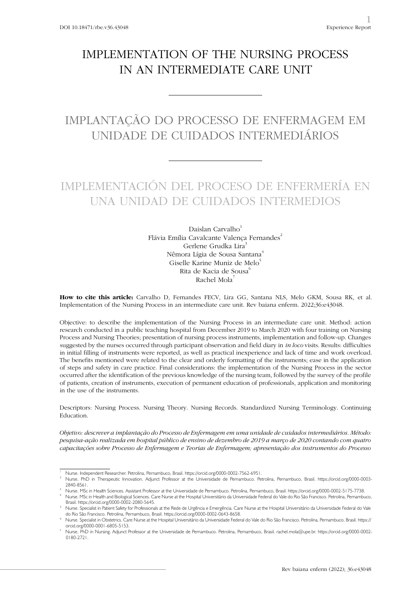## IMPLEMENTATION OF THE NURSING PROCESS IN AN INTERMEDIATE CARE UNIT

# IMPLANTAÇÃO DO PROCESSO DE ENFERMAGEM EM UNIDADE DE CUIDADOS INTERMEDIÁRIOS

## IMPLEMENTACIÓN DEL PROCESO DE ENFERMERÍA EN UNA UNIDAD DE CUIDADOS INTERMEDIOS

Daislan Carvalho<sup>1</sup> Flávia Emília Cavalcante Valença Fernandes<sup>2</sup> Gerlene Grudka Lira<sup>3</sup> Nêmora Lígia de Sousa Santana<sup>4</sup> Giselle Karine Muniz de Melo<sup>5</sup> Rita de Kacia de Sousa<sup>6</sup> Rachel Mola<sup>7</sup>

**How to cite this article:** Carvalho D, Fernandes FECV, Lira GG, Santana NLS, Melo GKM, Sousa RK, et al. Implementation of the Nursing Process in an intermediate care unit. Rev baiana enferm. 2022;36:e43048.

Objective: to describe the implementation of the Nursing Process in an intermediate care unit. Method: action research conducted in a public teaching hospital from December 2019 to March 2020 with four training on Nursing Process and Nursing Theories; presentation of nursing process instruments, implementation and follow-up. Changes suggested by the nurses occurred through participant observation and field diary in *in loco* visits. Results: difficulties in initial filling of instruments were reported, as well as practical inexperience and lack of time and work overload. The benefits mentioned were related to the clear and orderly formatting of the instruments; ease in the application of steps and safety in care practice. Final considerations: the implementation of the Nursing Process in the sector occurred after the identification of the previous knowledge of the nursing team, followed by the survey of the profile of patients, creation of instruments, execution of permanent education of professionals, application and monitoring in the use of the instruments.

Descriptors: Nursing Process. Nursing Theory. Nursing Records. Standardized Nursing Terminology. Continuing Education.

*Objetivo: descrever a implantação do Processo de Enfermagem em uma unidade de cuidados intermediários. Método: pesquisa-ação realizada em hospital público de ensino de dezembro de 2019 a março de 2020 contando com quatro capacitações sobre Processo de Enfermagem e Teorias de Enfermagem; apresentação dos instrumentos do Processo* 

<sup>1</sup> Nurse. Independent Researcher. Petrolina, Pernambuco, Brasil. https://orcid.org/0000-0002-7562-6951.

<sup>2</sup> Nurse. PhD in Therapeutic Innovation. Adjunct Professor at the Universidade de Pernambuco. Petrolina, Pernambuco, Brasil. https://orcid.org/0000-0003- 2840-8561.

<sup>3</sup> Nurse. MSc in Health Sciences. Assistant Professor at the Universidade de Pernambuco. Petrolina, Pernambuco, Brasil. https://orcid.org/0000-0002-5175-7738.

<sup>4</sup> Nurse. MSc in Health and Biological Sciences. Care Nurse at the Hospital Universitário da Universidade Federal do Vale do Rio São Francisco. Petrolina, Pernambuco, Brasil. https://orcid.org/0000-0002-2080-5645.

<sup>5</sup> Nurse. Specialist in Patient Safety for Professionals at the Rede de Urgência e Emergência. Care Nurse at the Hospital Universitário da Universidade Federal do Vale do Rio São Francisco. Petrolina, Pernambuco, Brasil. https://orcid.org/0000-0002-0643-8658.

<sup>6</sup> Nurse. Specialist in Obstetrics. Care Nurse at the Hospital Universitário da Universidade Federal do Vale do Rio São Francisco. Petrolina, Pernambuco, Brasil. https:// orcid.org/0000-0001-6805-5153.

<sup>7</sup> Nurse. PhD in Nursing. Adjunct Professor at the Universidade de Pernambuco. Petrolina, Pernambuco, Brasil. rachel.mola@upe.br. https://orcid.org/0000-0002- 0180-2721.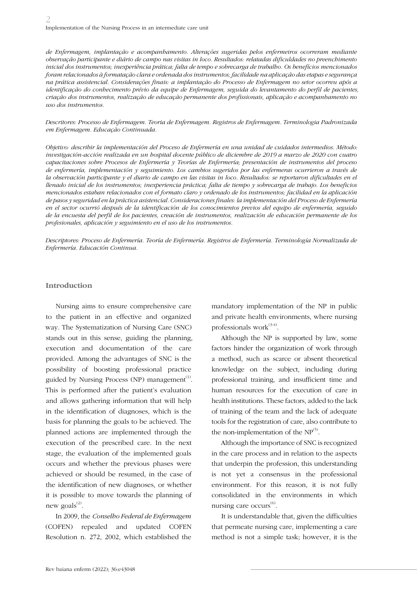*de Enfermagem, implantação e acompanhamento. Alterações sugeridas pelos enfermeiros ocorreram mediante observação participante e diário de campo nas visitas in loco. Resultados: relatadas dificuldades no preenchimento inicial dos instrumentos; inexperiência prática; falta de tempo e sobrecarga de trabalho. Os benefícios mencionados foram relacionados à formatação clara e ordenada dos instrumentos; facilidade na aplicação das etapas e segurança na prática assistencial. Considerações finais: a implantação do Processo de Enfermagem no setor ocorreu após a identificação do conhecimento prévio da equipe de Enfermagem, seguida do levantamento do perfil de pacientes, criação dos instrumentos, realização de educação permanente dos profissionais, aplicação e acompanhamento no uso dos instrumentos.*

*Descritores: Processo de Enfermagem. Teoria de Enfermagem. Registros de Enfermagem. Terminologia Padronizada em Enfermagem. Educação Continuada.*

*Objetivo: describir la implementación del Proceso de Enfermería en una unidad de cuidados intermedios. Método: investigación-acción realizada en un hospital docente público de diciembre de 2019 a marzo de 2020 con cuatro capacitaciones sobre Procesos de Enfermería y Teorías de Enfermería; presentación de instrumentos del proceso de enfermería, implementación y seguimiento. Los cambios sugeridos por las enfermeras ocurrieron a través de*  la observación participante y el diario de campo en las visitas in loco. Resultados: se reportaron dificultades en el *llenado inicial de los instrumentos; inexperiencia práctica; falta de tiempo y sobrecarga de trabajo. Los beneficios mencionados estaban relacionados con el formato claro y ordenado de los instrumentos; facilidad en la aplicación de pasos y seguridad en la práctica asistencial. Consideraciones finales: la implementación del Proceso de Enfermería en el sector ocurrió después de la identificación de los conocimientos previos del equipo de enfermería, seguido de la encuesta del perfil de los pacientes, creación de instrumentos, realización de educación permanente de los profesionales, aplicación y seguimiento en el uso de los instrumentos.*

*Descriptores: Proceso de Enfermería. Teoría de Enfermería. Registros de Enfermería. Terminología Normalizada de Enfermería. Educación Continua.*

#### **Introduction**

Nursing aims to ensure comprehensive care to the patient in an effective and organized way. The Systematization of Nursing Care (SNC) stands out in this sense, guiding the planning, execution and documentation of the care provided. Among the advantages of SNC is the possibility of boosting professional practice guided by Nursing Process (NP) management<sup>(1)</sup>. This is performed after the patient's evaluation and allows gathering information that will help in the identification of diagnoses, which is the basis for planning the goals to be achieved. The planned actions are implemented through the execution of the prescribed care. In the next stage, the evaluation of the implemented goals occurs and whether the previous phases were achieved or should be resumed, in the case of the identification of new diagnoses, or whether it is possible to move towards the planning of new goals $^{(2)}$ .

In 2009, the *Conselho Federal de Enfermagem* (COFEN) repealed and updated COFEN Resolution n. 272, 2002, which established the

mandatory implementation of the NP in public and private health environments, where nursing professionals work $^{(3-4)}$ .

Although the NP is supported by law, some factors hinder the organization of work through a method, such as scarce or absent theoretical knowledge on the subject, including during professional training, and insufficient time and human resources for the execution of care in health institutions. These factors, added to the lack of training of the team and the lack of adequate tools for the registration of care, also contribute to the non-implementation of the  $NP^{(5)}$ .

Although the importance of SNC is recognized in the care process and in relation to the aspects that underpin the profession, this understanding is not yet a consensus in the professional environment. For this reason, it is not fully consolidated in the environments in which nursing care occurs<sup>(6)</sup>.

It is understandable that, given the difficulties that permeate nursing care, implementing a care method is not a simple task; however, it is the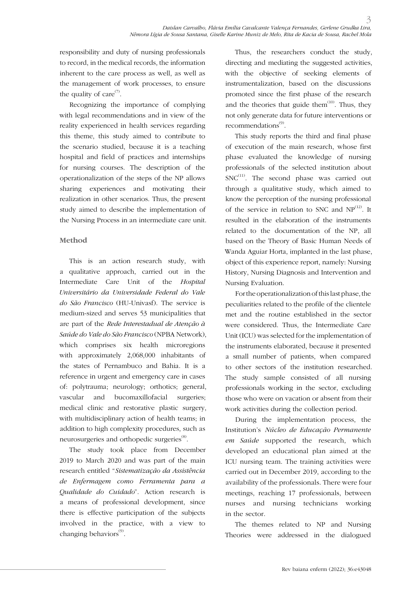responsibility and duty of nursing professionals to record, in the medical records, the information inherent to the care process as well, as well as the management of work processes, to ensure the quality of care $(7)$ .

Recognizing the importance of complying with legal recommendations and in view of the reality experienced in health services regarding this theme, this study aimed to contribute to the scenario studied, because it is a teaching hospital and field of practices and internships for nursing courses. The description of the operationalization of the steps of the NP allows sharing experiences and motivating their realization in other scenarios. Thus, the present study aimed to describe the implementation of the Nursing Process in an intermediate care unit.

### **Method**

This is an action research study, with a qualitative approach, carried out in the Intermediate Care Unit of the *Hospital Universitário da Universidade Federal do Vale do São Francisco* (HU-Univasf). The service is medium-sized and serves 53 municipalities that are part of the *Rede Interestadual de Atenção à Saúde do Vale do São Francisco* (NPBA Network), which comprises six health microregions with approximately 2,068,000 inhabitants of the states of Pernambuco and Bahia. It is a reference in urgent and emergency care in cases of: polytrauma; neurology; orthotics; general, vascular and bucomaxillofacial surgeries; medical clinic and restorative plastic surgery, with multidisciplinary action of health teams; in addition to high complexity procedures, such as neurosurgeries and orthopedic surgeries<sup>(8)</sup>.

The study took place from December 2019 to March 2020 and was part of the main research entitled "*Sistematização da Assistência de Enfermagem como Ferramenta para a Qualidade do Cuidado*". Action research is a means of professional development, since there is effective participation of the subjects involved in the practice, with a view to changing behaviors $^{(9)}$ .

Thus, the researchers conduct the study, directing and mediating the suggested activities, with the objective of seeking elements of instrumentalization, based on the discussions promoted since the first phase of the research and the theories that guide them $(10)$ . Thus, they not only generate data for future interventions or recommendations<sup>(9)</sup>.

This study reports the third and final phase of execution of the main research, whose first phase evaluated the knowledge of nursing professionals of the selected institution about  $SNC^{(11)}$ . The second phase was carried out through a qualitative study, which aimed to know the perception of the nursing professional of the service in relation to SNC and  $NP^{(12)}$ . It resulted in the elaboration of the instruments related to the documentation of the NP, all based on the Theory of Basic Human Needs of Wanda Aguiar Horta, implanted in the last phase, object of this experience report, namely: Nursing History, Nursing Diagnosis and Intervention and Nursing Evaluation.

For the operationalization of this last phase, the peculiarities related to the profile of the clientele met and the routine established in the sector were considered. Thus, the Intermediate Care Unit (ICU) was selected for the implementation of the instruments elaborated, because it presented a small number of patients, when compared to other sectors of the institution researched. The study sample consisted of all nursing professionals working in the sector, excluding those who were on vacation or absent from their work activities during the collection period.

During the implementation process, the Institution's *Núcleo de Educação Permanente em Saúde* supported the research, which developed an educational plan aimed at the ICU nursing team. The training activities were carried out in December 2019, according to the availability of the professionals. There were four meetings, reaching 17 professionals, between nurses and nursing technicians working in the sector.

The themes related to NP and Nursing Theories were addressed in the dialogued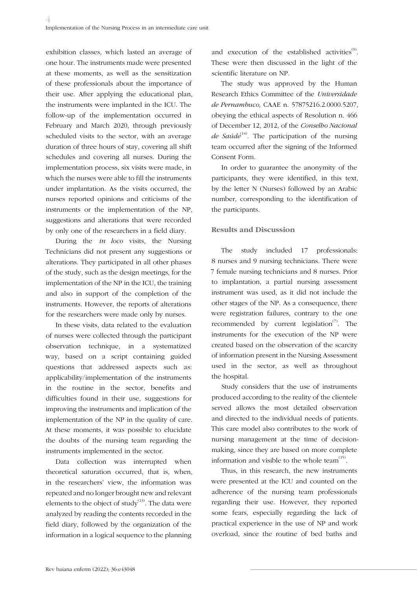exhibition classes, which lasted an average of one hour. The instruments made were presented at these moments, as well as the sensitization of these professionals about the importance of their use. After applying the educational plan, the instruments were implanted in the ICU. The follow-up of the implementation occurred in February and March 2020, through previously scheduled visits to the sector, with an average duration of three hours of stay, covering all shift schedules and covering all nurses. During the implementation process, six visits were made, in which the nurses were able to fill the instruments under implantation. As the visits occurred, the nurses reported opinions and criticisms of the instruments or the implementation of the NP, suggestions and alterations that were recorded by only one of the researchers in a field diary.

During the *in loco* visits, the Nursing Technicians did not present any suggestions or alterations. They participated in all other phases of the study, such as the design meetings, for the implementation of the NP in the ICU, the training and also in support of the completion of the instruments. However, the reports of alterations for the researchers were made only by nurses.

In these visits, data related to the evaluation of nurses were collected through the participant observation technique, in a systematized way, based on a script containing guided questions that addressed aspects such as: applicability/implementation of the instruments in the routine in the sector, benefits and difficulties found in their use, suggestions for improving the instruments and implication of the implementation of the NP in the quality of care. At these moments, it was possible to elucidate the doubts of the nursing team regarding the instruments implemented in the sector.

Data collection was interrupted when theoretical saturation occurred, that is, when, in the researchers' view, the information was repeated and no longer brought new and relevant elements to the object of study $^{(13)}$ . The data were analyzed by reading the contents recorded in the field diary, followed by the organization of the information in a logical sequence to the planning

and execution of the established activities<sup>(9)</sup>. These were then discussed in the light of the scientific literature on NP.

The study was approved by the Human Research Ethics Committee of the *Universidade de Pernambuco*, CAAE n. 57875216.2.0000.5207, obeying the ethical aspects of Resolution n. 466 of December 12, 2012, of the *Conselho Nacional de Saúde*<sup>(14)</sup>. The participation of the nursing team occurred after the signing of the Informed Consent Form.

In order to guarantee the anonymity of the participants, they were identified, in this text, by the letter N (Nurses) followed by an Arabic number, corresponding to the identification of the participants.

### **Results and Discussion**

The study included 17 professionals: 8 nurses and 9 nursing technicians. There were 7 female nursing technicians and 8 nurses. Prior to implantation, a partial nursing assessment instrument was used, as it did not include the other stages of the NP. As a consequence, there were registration failures, contrary to the one recommended by current legislation $\sigma$ . The instruments for the execution of the NP were created based on the observation of the scarcity of information present in the Nursing Assessment used in the sector, as well as throughout the hospital.

Study considers that the use of instruments produced according to the reality of the clientele served allows the most detailed observation and directed to the individual needs of patients. This care model also contributes to the work of nursing management at the time of decisionmaking, since they are based on more complete information and visible to the whole team $(15)$ .

Thus, in this research, the new instruments were presented at the ICU and counted on the adherence of the nursing team professionals regarding their use. However, they reported some fears, especially regarding the lack of practical experience in the use of NP and work overload, since the routine of bed baths and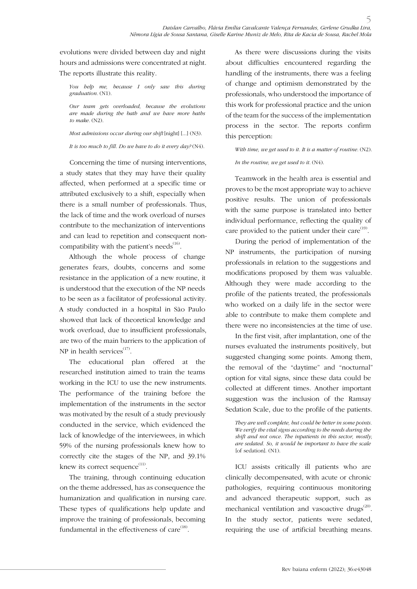evolutions were divided between day and night hours and admissions were concentrated at night. The reports illustrate this reality.

*You help me, because I only saw this during graduation.* (N1).

*Our team gets overloaded, because the evolutions are made during the bath and we have more baths to make.* (N2).

*Most admissions occur during our shift* [night] [...] (N3).

*It is too much to fill. Do we have to do it every day?* (N4).

Concerning the time of nursing interventions, a study states that they may have their quality affected, when performed at a specific time or attributed exclusively to a shift, especially when there is a small number of professionals. Thus, the lack of time and the work overload of nurses contribute to the mechanization of interventions and can lead to repetition and consequent noncompatibility with the patient's needs $^{(16)}$ .

Although the whole process of change generates fears, doubts, concerns and some resistance in the application of a new routine, it is understood that the execution of the NP needs to be seen as a facilitator of professional activity. A study conducted in a hospital in São Paulo showed that lack of theoretical knowledge and work overload, due to insufficient professionals, are two of the main barriers to the application of NP in health services $^{(17)}$ .

The educational plan offered at the researched institution aimed to train the teams working in the ICU to use the new instruments. The performance of the training before the implementation of the instruments in the sector was motivated by the result of a study previously conducted in the service, which evidenced the lack of knowledge of the interviewees, in which 59% of the nursing professionals knew how to correctly cite the stages of the NP, and 39.1% knew its correct sequence $^{(11)}$ .

The training, through continuing education on the theme addressed, has as consequence the humanization and qualification in nursing care. These types of qualifications help update and improve the training of professionals, becoming fundamental in the effectiveness of care $^{(18)}$ .

As there were discussions during the visits about difficulties encountered regarding the handling of the instruments, there was a feeling of change and optimism demonstrated by the professionals, who understood the importance of this work for professional practice and the union of the team for the success of the implementation process in the sector. The reports confirm this perception:

With time, we get used to it. It is a matter of routine. (N2). *In the routine, we get used to it.* (N4).

Teamwork in the health area is essential and proves to be the most appropriate way to achieve positive results. The union of professionals with the same purpose is translated into better individual performance, reflecting the quality of care provided to the patient under their care $^{(19)}$ .

During the period of implementation of the NP instruments, the participation of nursing professionals in relation to the suggestions and modifications proposed by them was valuable. Although they were made according to the profile of the patients treated, the professionals who worked on a daily life in the sector were able to contribute to make them complete and there were no inconsistencies at the time of use.

In the first visit, after implantation, one of the nurses evaluated the instruments positively, but suggested changing some points. Among them, the removal of the "daytime" and "nocturnal" option for vital signs, since these data could be collected at different times. Another important suggestion was the inclusion of the Ramsay Sedation Scale, due to the profile of the patients.

*They are well complete, but could be better in some points. We verify the vital signs according to the needs during the shift and not once. The inpatients in this sector, mostly, are sedated. So, it would be important to have the scale*  [of sedation]. (N1).

ICU assists critically ill patients who are clinically decompensated, with acute or chronic pathologies, requiring continuous monitoring and advanced therapeutic support, such as mechanical ventilation and vasoactive drugs<sup>(20)</sup>. In the study sector, patients were sedated, requiring the use of artificial breathing means.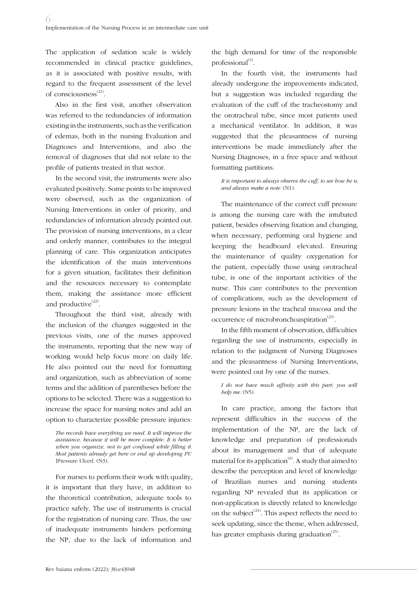The application of sedation scale is widely recommended in clinical practice guidelines, as it is associated with positive results, with regard to the frequent assessment of the level of consciousness<sup>(21)</sup>.

Also in the first visit, another observation was referred to the redundancies of information existing in the instruments, such as the verification of edemas, both in the nursing Evaluation and Diagnoses and Interventions, and also the removal of diagnoses that did not relate to the profile of patients treated in that sector.

In the second visit, the instruments were also evaluated positively. Some points to be improved were observed, such as the organization of Nursing Interventions in order of priority, and redundancies of information already pointed out. The provision of nursing interventions, in a clear and orderly manner, contributes to the integral planning of care. This organization anticipates the identification of the main interventions for a given situation, facilitates their definition and the resources necessary to contemplate them, making the assistance more efficient and productive $^{(22)}$ .

Throughout the third visit, already with the inclusion of the changes suggested in the previous visits, one of the nurses approved the instruments, reporting that the new way of working would help focus more on daily life. He also pointed out the need for formatting and organization, such as abbreviation of some terms and the addition of parentheses before the options to be selected. There was a suggestion to increase the space for nursing notes and add an option to characterize possible pressure injuries:

*The records have everything we need. It will improve the assistance, because it will be more complete. It is better when you organize, not to get confused while filling it. Most patients already get here or end up developing PU*  [Pressure Ulcer]. (N3).

For nurses to perform their work with quality, it is important that they have, in addition to the theoretical contribution, adequate tools to practice safely. The use of instruments is crucial for the registration of nursing care. Thus, the use of inadequate instruments hinders performing the NP, due to the lack of information and

the high demand for time of the responsible professional $^{(5)}$ .

In the fourth visit, the instruments had already undergone the improvements indicated, but a suggestion was included regarding the evaluation of the cuff of the tracheostomy and the orotracheal tube, since most patients used a mechanical ventilator. In addition, it was suggested that the pleasantness of nursing interventions be made immediately after the Nursing Diagnoses, in a free space and without formatting partitions.

*It is important to always observe the cuff, to see how he is, and always make a note.* (N1).

The maintenance of the correct cuff pressure is among the nursing care with the intubated patient, besides observing fixation and changing, when necessary, performing oral hygiene and keeping the headboard elevated. Ensuring the maintenance of quality oxygenation for the patient, especially those using orotracheal tube, is one of the important activities of the nurse. This care contributes to the prevention of complications, such as the development of pressure lesions in the tracheal mucosa and the occurrence of microbronchoaspiration<sup> $(23)$ </sup>.

In the fifth moment of observation, difficulties regarding the use of instruments, especially in relation to the judgment of Nursing Diagnoses and the pleasantness of Nursing Interventions, were pointed out by one of the nurses.

*I do not have much affinity with this part; you will help me.* (N5).

In care practice, among the factors that represent difficulties in the success of the implementation of the NP, are the lack of knowledge and preparation of professionals about its management and that of adequate material for its application $^{(6)}$ . A study that aimed to describe the perception and level of knowledge of Brazilian nurses and nursing students regarding NP revealed that its application or non-application is directly related to knowledge on the subject<sup> $(24)$ </sup>. This aspect reflects the need to seek updating, since the theme, when addressed, has greater emphasis during graduation<sup> $(25)$ </sup>.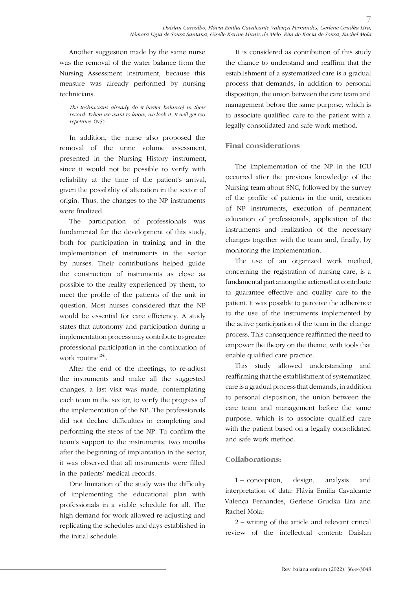Another suggestion made by the same nurse was the removal of the water balance from the Nursing Assessment instrument, because this measure was already performed by nursing technicians.

*The technicians already do it [water balance] in their record. When we want to know, we look it. It will get too repetitive.* (N5).

In addition, the nurse also proposed the removal of the urine volume assessment, presented in the Nursing History instrument, since it would not be possible to verify with reliability at the time of the patient's arrival, given the possibility of alteration in the sector of origin. Thus, the changes to the NP instruments were finalized.

The participation of professionals was fundamental for the development of this study, both for participation in training and in the implementation of instruments in the sector by nurses. Their contributions helped guide the construction of instruments as close as possible to the reality experienced by them, to meet the profile of the patients of the unit in question. Most nurses considered that the NP would be essential for care efficiency. A study states that autonomy and participation during a implementation process may contribute to greater professional participation in the continuation of work routine<sup>(24)</sup>.

After the end of the meetings, to re-adjust the instruments and make all the suggested changes, a last visit was made, contemplating each team in the sector, to verify the progress of the implementation of the NP. The professionals did not declare difficulties in completing and performing the steps of the NP. To confirm the team's support to the instruments, two months after the beginning of implantation in the sector, it was observed that all instruments were filled in the patients' medical records.

One limitation of the study was the difficulty of implementing the educational plan with professionals in a viable schedule for all. The high demand for work allowed re-adjusting and replicating the schedules and days established in the initial schedule.

It is considered as contribution of this study the chance to understand and reaffirm that the establishment of a systematized care is a gradual process that demands, in addition to personal disposition, the union between the care team and management before the same purpose, which is to associate qualified care to the patient with a legally consolidated and safe work method.

### **Final considerations**

The implementation of the NP in the ICU occurred after the previous knowledge of the Nursing team about SNC, followed by the survey of the profile of patients in the unit, creation of NP instruments, execution of permanent education of professionals, application of the instruments and realization of the necessary changes together with the team and, finally, by monitoring the implementation.

The use of an organized work method, concerning the registration of nursing care, is a fundamental part among the actions that contribute to guarantee effective and quality care to the patient. It was possible to perceive the adherence to the use of the instruments implemented by the active participation of the team in the change process. This consequence reaffirmed the need to empower the theory on the theme, with tools that enable qualified care practice.

This study allowed understanding and reaffirming that the establishment of systematized care is a gradual process that demands, in addition to personal disposition, the union between the care team and management before the same purpose, which is to associate qualified care with the patient based on a legally consolidated and safe work method.

#### **Collaborations:**

1 – conception, design, analysis and interpretation of data: Flávia Emilia Cavalcante Valença Fernandes, Gerlene Grudka Lira and Rachel Mola;

2 – writing of the article and relevant critical review of the intellectual content: Daislan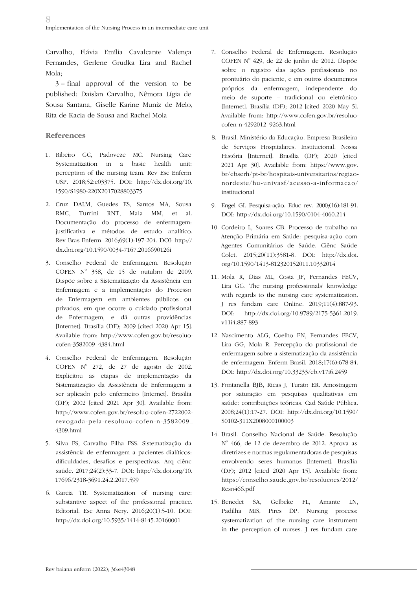Carvalho, Flávia Emília Cavalcante Valença Fernandes, Gerlene Grudka Lira and Rachel Mola;

3 – final approval of the version to be published: Daislan Carvalho, Nêmora Lígia de Sousa Santana, Giselle Karine Muniz de Melo, Rita de Kacia de Sousa and Rachel Mola

## **References**

- 1. Ribeiro GC, Padoveze MC. Nursing Care Systematization in a basic health unit: perception of the nursing team. Rev Esc Enferm USP. 2018;52:e03375. DOI: http://dx.doi.org/10. 1590/S1980-220X2017028803375
- 2. Cruz DALM, Guedes ES, Santos MA, Sousa RMC, Turrini RNT, Maia MM, et al. Documentação do processo de enfermagem: justificativa e métodos de estudo analítico. Rev Bras Enferm. 2016;69(1):197-204. DOI: http:// dx.doi.org/10.1590/0034-7167.2016690126i
- 3. Conselho Federal de Enfermagem. Resolução  $COFEN$   $N^{\circ}$  358, de 15 de outubro de 2009. Dispõe sobre a Sistematização da Assistência em Enfermagem e a implementação do Processo de Enfermagem em ambientes públicos ou privados, em que ocorre o cuidado profissional de Enfermagem, e dá outras providências [Internet]. Brasília (DF); 2009 [cited 2020 Apr 15]. Available from: http://www.cofen.gov.br/resoluocofen-3582009\_4384.html
- 4. Conselho Federal de Enfermagem. Resolução  $COFEN$   $N^{\circ}$  272, de 27 de agosto de 2002. Explicitou as etapas de implementação da Sistematização da Assistência de Enfermagem a ser aplicado pelo enfermeiro [Internet]. Brasília (DF); 2002 [cited 2021 Apr 30]. Available from: http://www.cofen.gov.br/resoluo-cofen-2722002 revogada-pela-resoluao-cofen-n-3582009\_ 4309.html
- 5. Silva FS, Carvalho Filha FSS. Sistematização da assistência de enfermagem a pacientes dialíticos: dificuldades, desafios e perspectivas. Arq ciênc saúde. 2017;24(2):33-7. DOI: http://dx.doi.org/10. 17696/2318-3691.24.2.2017.599
- 6. Garcia TR. Systematization of nursing care: substantive aspect of the professional practice. Editorial. Esc Anna Nery. 2016;20(1):5-10. DOI: http://dx.doi.org/10.5935/1414-8145.20160001
- 7. Conselho Federal de Enfermagem. Resolução COFEN Nº 429, de 22 de junho de 2012. Dispõe sobre o registro das ações profissionais no prontuário do paciente, e em outros documentos próprios da enfermagem, independente do meio de suporte – tradicional ou eletrônico [Internet]. Brasília (DF); 2012 [cited 2020 May 5]. Available from: http://www.cofen.gov.br/resoluocofen-n-4292012\_9263.html
- 8. Brasil. Ministério da Educação. Empresa Brasileira de Serviços Hospitalares. Institucional. Nossa História [Internet]. Brasília (DF); 2020 [cited 2021 Apr 30]. Available from: https://www.gov. br/ebserh/pt-br/hospitais-universitarios/regiaonordeste/hu-univasf/acesso-a-informacao/ institucional
- 9. Engel GI. Pesquisa-ação. Educ rev. 2000;(16):181-91. DOI: http://dx.doi.org/10.1590/0104-4060.214
- 10. Cordeiro L, Soares CB. Processo de trabalho na Atenção Primária em Saúde: pesquisa-ação com Agentes Comunitários de Saúde. Ciênc Saúde Colet. 2015;20(11):3581-8. DOI: http://dx.doi. org/10.1590/1413-812320152011.10332014
- 11. Mola R, Dias ML, Costa JF, Fernandes FECV, Lira GG. The nursing professionals' knowledge with regards to the nursing care systematization. J res fundam care Online. 2019;11(4):887-93. DOI: http://dx.doi.org/10.9789/2175-5361.2019. v11i4.887-893
- 12. Nascimento ALG, Coelho EN, Fernandes FECV, Lira GG, Mola R. Percepção do profissional de enfermagem sobre a sistematização da assistência de enfermagem. Enferm Brasil. 2018;17(6):678-84. DOI: http://dx.doi.org/10.33233/eb.v17i6.2459
- 13. Fontanella BJB, Ricas J, Turato ER. Amostragem por saturação em pesquisas qualitativas em saúde: contribuições teóricas. Cad Saúde Pública. 2008;24(1):17-27. DOI: http://dx.doi.org/10.1590/ S0102-311X2008000100003
- 14. Brasil. Conselho Nacional de Saúde. Resolução Nº 466, de 12 de dezembro de 2012. Aprova as diretrizes e normas regulamentadoras de pesquisas envolvendo seres humanos [Internet]. Brasília (DF); 2012 [cited 2020 Apr 15]. Available from: https://conselho.saude.gov.br/resolucoes/2012/ Reso466.pdf
- 15. Benedet SA, Gelbcke FL, Amante LN, Padilha MIS, Pires DP. Nursing process: systematization of the nursing care instrument in the perception of nurses. J res fundam care